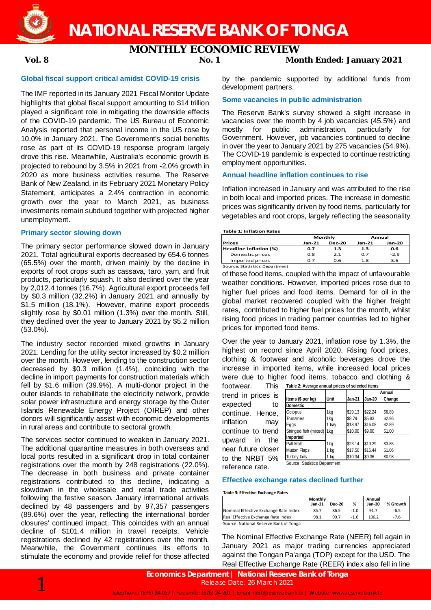**NATIONAL RESERVE BANK OF TONGA**

# **MONTHLY ECONOMIC REVIEW**

**Vol. 8 No. 1 Month Ended: January 2021**

# **Global fiscal support critical amidst COVID-19 crisis**

The IMF reported in its January 2021 Fiscal Monitor Update highlights that global fiscal support amounting to \$14 trillion played a significant role in mitigating the downside effects of the COVID-19 pandemic. The US Bureau of Economic Analysis reported that personal income in the US rose by 10.0% in January 2021. The Government's social benefits rose as part of its COVID-19 response program largely drove this rise. Meanwhile, Australia's economic growth is projected to rebound by 3.5% in 2021 from -2.0% growth in 2020 as more business activities resume. The Reserve Bank of New Zealand, in its February 2021 Monetary Policy Statement, anticipates a 2.4% contraction in economic growth over the year to March 2021, as business investments remain subdued together with projected higher unemployment.

# **Primary sector slowing down**

The primary sector performance slowed down in January 2021. Total agricultural exports decreased by 654.6 tonnes (65.5%) over the month, driven mainly by the decline in exports of root crops such as cassava, taro, yam, and fruit products, particularly squash. It also declined over the year by 2,012.4 tonnes (16.7%). Agricultural export proceeds fell by \$0.3 million (32.2%) in January 2021 and annually by \$1.5 million (18.1%). However, marine export proceeds slightly rose by \$0.01 million (1.3%) over the month. Still, they declined over the year to January 2021 by \$5.2 million (53.0%).

The industry sector recorded mixed growths in January 2021. Lending for the utility sector increased by \$0.2 million over the month. However, lending to the construction sector decreased by \$0.3 million (1.4%), coinciding with the decline in import payments for construction materials which fell by \$1.6 million (39.9%). A multi-donor project in the outer islands to rehabilitate the electricity network, provide solar power infrastructure and energy storage by the Outer Islands Renewable Energy Project (OIREP) and other donors will significantly assist with economic developments in rural areas and contribute to sectoral growth.

The services sector continued to weaken in January 2021. The additional quarantine measures in both overseas and local ports resulted in a significant drop in total container registrations over the month by 248 registrations (22.0%). The decrease in both business and private container registrations contributed to this decline, indicating a slowdown in the wholesale and retail trade activities following the festive season. January international arrivals declined by 48 passengers and by 97,357 passengers (89.6%) over the year, reflecting the international border closures' continued impact. This coincides with an annual decline of \$101.4 million in travel receipts. Vehicle registrations declined by 42 registrations over the month. Meanwhile, the Government continues its efforts to stimulate the economy and provide relief for those affected by the pandemic supported by additional funds from development partners.

# **Some vacancies in public administration**

The Reserve Bank's survey showed a slight increase in vacancies over the month by 4 job vacancies (45.5%) and mostly for public administration, particularly for Government. However, job vacancies continued to decline in over the year to January 2021 by 275 vacancies (54.9%). The COVID-19 pandemic is expected to continue restricting employment opportunities.

#### **Annual headline inflation continues to rise**

Inflation increased in January and was attributed to the rise in both local and imported prices. The increase in domestic prices was significantly driven by food items, particularly for vegetables and root crops, largely reflecting the seasonality

#### **Table 1: Inflation Rates**

|                               |                           | Monthly | Annual |        |  |
|-------------------------------|---------------------------|---------|--------|--------|--|
| <b>Prices</b>                 | <b>Dec-20</b><br>$Jan-21$ |         | Jan-21 | Jan-20 |  |
| Headline Inflation (%)        | 0.7                       | 1.3     | 1.3    | 0.6    |  |
| Domestic prices               | 0.8                       | 2.1     | 0.7    | $-2.9$ |  |
| Imported prices               | 0.7                       | 0.6     | 1.8    | 3.6    |  |
| Source: Statistics Department |                           |         |        |        |  |

of these food items, coupled with the impact of unfavourable weather conditions. However, imported prices rose due to higher fuel prices and food items. Demand for oil in the global market recovered coupled with the higher freight rates, contributed to higher fuel prices for the month, whilst rising food prices in trading partner countries led to higher prices for imported food items.

Over the year to January 2021, inflation rose by 1.3%, the highest on record since April 2020. Rising food prices, clothing & footwear and alcoholic beverages drove the increase in imported items, while increased local prices were due to higher food items, tobacco and clothing & **Table 2: Average annual prices of selected items**

footwear. trend in prices is expected to continue. Hence, inflation may continue to trend upward in the near future closer to the NRBT 5% reference rate.

| Table 2. Average annual prices of selected riems |      |               |         |        |
|--------------------------------------------------|------|---------------|---------|--------|
|                                                  |      |               |         | Annual |
| Items (\$ per kg)                                | Unit | <b>Jan-21</b> | Jan-20  | Change |
| <b>Domestic</b>                                  |      |               |         |        |
| Octopus                                          | 1kg  | \$29.13       | \$22.24 | \$6.89 |
| Tomatoes                                         | 1kg  | \$8.79        | \$5.83  | \$2.96 |
| Eggs                                             | tray | \$18.97       | \$16.08 | \$2.89 |
| Stringed fish (mixed)                            | l1kg | \$10.00       | \$9.00  | \$1.00 |
| Imported                                         |      |               |         |        |
| Pall Mall                                        | 1kg  | \$23.14       | \$19.29 | \$3.85 |
| Mutton Flaps                                     | kg   | \$17.50       | \$16.44 | \$1.06 |
| Turkey tails                                     | kg   | \$10.34       | \$9.36  | \$0.98 |
|                                                  |      |               |         |        |

Source: Statistics Department

### **Effective exchange rates declined further**

**Table 3: Effective Exchange Rates**

|                                        | Monthly<br>Jan-21 | <b>Dec-20</b> | %      | Annual<br><b>Jan-20</b> | % Growth |
|----------------------------------------|-------------------|---------------|--------|-------------------------|----------|
| Nominal Effective Exchange Rate Index  | 85.7              | 86.5          | $-1.0$ | 91.7                    | $-6.5$   |
| Real Effective Exchange Rate Index     | 98.1              | 99.7          | $-1.6$ | 106.2                   | $-7.6$   |
| Source: National Reserve Bank of Tonga |                   |               |        |                         |          |

Source: National Reserve Bank of Tonga

The Nominal Effective Exchange Rate (NEER) fell again in January 2021 as major trading currencies appreciated against the Tongan Pa'anga (TOP) except for the USD. The Real Effective Exchange Rate (REER) index also fell in line

1 **Economics Department** <sup>|</sup>**National Reserve Bank of Tonga** Telephone: (676) 24-057 | Facsimile: (676) 24-201 | Email: nrbt@reservebank.to | Website: www.reservebank.to Release Date: 26 March 2021

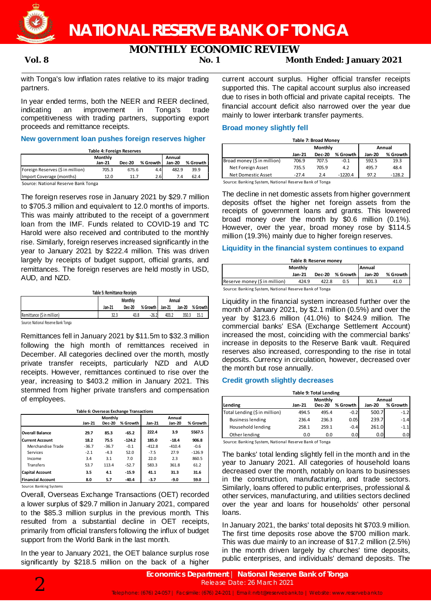**NATIONAL RESERVE BANK OF TONGA**

# **MONTHLY ECONOMIC REVIEW**

# **Vol. 8 No. 1 Month Ended: January 2021**

with Tonga's low inflation rates relative to its major trading partners.

In year ended terms, both the NEER and REER declined, indicating an improvement in Tonga's trade competitiveness with trading partners, supporting export proceeds and remittance receipts.

# **New government loan pushes foreign reserves higher**

|--|

| Table 4. Toreign Reserves                   |                   |               |          |                         |          |  |  |  |
|---------------------------------------------|-------------------|---------------|----------|-------------------------|----------|--|--|--|
|                                             | Monthly<br>Jan-21 | <b>Dec-20</b> | % Growth | Annual<br><b>Jan-20</b> | % Growth |  |  |  |
| Foreign Reserves (\$ in million)            | 705.3             | 675.6         | 4.4      | 482.9                   | 39.9     |  |  |  |
| Import Coverage (months)                    | 12.0              | 11 7          | 2.6      | 7.4                     | 62.4     |  |  |  |
| Concert Matters of Desertion Dealer Texture |                   |               |          |                         |          |  |  |  |

Source: National Reserve Bank Tonga

The foreign reserves rose in January 2021 by \$29.7 million to \$705.3 million and equivalent to 12.0 months of imports. This was mainly attributed to the receipt of a government loan from the IMF. Funds related to COVID-19 and TC Harold were also received and contributed to the monthly rise. Similarly, foreign reserves increased significantly in the year to January 2021 by \$222.4 million. This was driven largely by receipts of budget support, official grants, and remittances. The foreign reserves are held mostly in USD, AUD, and NZD.

|                            |        | Annual |            |        |        |            |
|----------------------------|--------|--------|------------|--------|--------|------------|
|                            | Jan-21 | Dec-20 | % Growth I | Jan 21 | Jan-20 | % Growth I |
| Remittance (\$ in million) | 32.3   | 43.8   | $-26.2$    | 403.2  | 350.3  | 15.1       |

Source: National Reserve Bank Tonga

Remittances fell in January 2021 by \$11.5m to \$32.3 million following the high month of remittances received in December. All categories declined over the month, mostly private transfer receipts, particularly NZD and AUD receipts. However, remittances continued to rise over the year, increasing to \$403.2 million in January 2021. This stemmed from higher private transfers and compensation of employees.

|                          | Table 6: Overseas Exchange Transactions |               |          |               |               |          |  |  |  |
|--------------------------|-----------------------------------------|---------------|----------|---------------|---------------|----------|--|--|--|
|                          |                                         | Monthly       |          |               | Annual        |          |  |  |  |
|                          | $Jan-21$                                | <b>Dec-20</b> | % Growth | <b>Jan-21</b> | <b>Jan-20</b> | % Growth |  |  |  |
| <b>Overall Balance</b>   | 29.7                                    | 85.3          | $-65.2$  | 222.4         | 3.9           | 5567.5   |  |  |  |
| <b>Current Account</b>   | 18.2                                    | 75.5          | $-124.2$ | 185.0         | $-18.4$       | 906.8    |  |  |  |
| Merchandise Trade        | $-36.7$                                 | $-36.7$       | $-0.1$   | $-412.8$      | $-410.4$      | $-0.6$   |  |  |  |
| Services                 | $-2.1$                                  | $-4.3$        | 52.0     | $-7.5$        | 27.9          | $-126.9$ |  |  |  |
| Income                   | 3.4                                     | 3.1           | 7.0      | 22.0          | 2.3           | 860.5    |  |  |  |
| <b>Transfers</b>         | 53.7                                    | 113.4         | $-52.7$  | 583.3         | 361.8         | 61.2     |  |  |  |
| <b>Capital Account</b>   | 3.5                                     | 4.1           | $-15.9$  | 41.1          | 31.3          | 31.6     |  |  |  |
| <b>Financial Account</b> | 8.0                                     | 5.7           | $-40.4$  | $-3.7$        | $-9.0$        | 59.0     |  |  |  |

Source: Banking Systems

Overall, Overseas Exchange Transactions (OET) recorded a lower surplus of \$29.7 million in January 2021, compared to the \$85.3 million surplus in the previous month. This resulted from a substantial decline in OET receipts, primarily from official transfers following the influx of budget support from the World Bank in the last month.

In the year to January 2021, the OET balance surplus rose significantly by \$218.5 million on the back of a higher

current account surplus. Higher official transfer receipts supported this. The capital account surplus also increased due to rises in both official and private capital receipts. The financial account deficit also narrowed over the year due mainly to lower interbank transfer payments.

# **Broad money slightly fell**

| <b>Table 7: Broad Money</b> |                   |               |           |               |          |  |  |
|-----------------------------|-------------------|---------------|-----------|---------------|----------|--|--|
|                             | Monthly<br>Annual |               |           |               |          |  |  |
|                             | Jan-21            | <b>Dec-20</b> | % Growth  | <b>Jan-20</b> | % Growth |  |  |
| Broad money (\$ in million) | 706.9             | 707.5         | $-0.1$    | 592.5         | 19.3     |  |  |
| Net Foreign Asset           | 735.5             | 705.9         | 4.2       | 495.7         | 48.4     |  |  |
| Net Domestic Asset          | -27.4             | 2.4           | $-1220.4$ | 97.2          | $-128.2$ |  |  |

Source: Banking System, National Reserve Bank of Tonga

The decline in net domestic assets from higher government deposits offset the higher net foreign assets from the receipts of government loans and grants. This lowered broad money over the month by \$0.6 million (0.1%). However, over the year, broad money rose by \$114.5 million (19.3%) mainly due to higher foreign reserves.

# **Liquidity in the financial system continues to expand**

| Table 8: Reserve money                                 |        |               |            |        |          |  |
|--------------------------------------------------------|--------|---------------|------------|--------|----------|--|
| <b>Annual</b><br>Monthly                               |        |               |            |        |          |  |
|                                                        | Jan-21 | <b>Dec-20</b> | % Growth 1 | Jan-20 | % Growth |  |
| Reserve money (\$ in million)                          | 424.9  | 422.8         | 0.5        | 301.3  | 41.0     |  |
| Source: Banking System, National Reserve Bank of Tonga |        |               |            |        |          |  |

Liquidity in the financial system increased further over the month of January 2021, by \$2.1 million (0.5%) and over the year by \$123.6 million (41.0%) to \$424.9 million. The commercial banks' ESA (Exchange Settlement Account) increased the most, coinciding with the commercial banks' increase in deposits to the Reserve Bank vault. Required reserves also increased, corresponding to the rise in total deposits. Currency in circulation, however, decreased over the month but rose annually.

# **Credit growth slightly decreases**

| <b>Table 9: Total Lending</b> |        |               |          |               |          |  |  |  |
|-------------------------------|--------|---------------|----------|---------------|----------|--|--|--|
|                               |        | Monthly       |          |               | Annual   |  |  |  |
| Lending                       | Jan-21 | <b>Dec-20</b> | % Growth | <b>Jan-20</b> | % Growth |  |  |  |
| Total Lending (\$ in million) | 494.5  | 495.4         | $-0.2$   | 500.7         | $-1.2$   |  |  |  |
| <b>Business lending</b>       | 236.4  | 236.3         | 0.05     | 239.7         | $-1.4$   |  |  |  |
| Household lending             | 258.1  | 259.1         | $-0.4$   | 261.0         | $-1.1$   |  |  |  |
| Other lending                 | 0.0    | 0.0           | 0.0      | 0.0           | 0.0      |  |  |  |

Source: Banking System, National Reserve Bank of Tonga

The banks' total lending slightly fell in the month and in the year to January 2021. All categories of household loans decreased over the month, notably on loans to businesses in the construction, manufacturing, and trade sectors. Similarly, loans offered to public enterprises, professional & other services, manufacturing, and utilities sectors declined over the year and loans for households' other personal loans.

In January 2021, the banks' total deposits hit \$703.9 million. The first time deposits rose above the \$700 million mark. This was due mainly to an increase of \$17.2 million (2.5%) in the month driven largely by churches' time deposits, public enterprises, and individuals' demand deposits. The